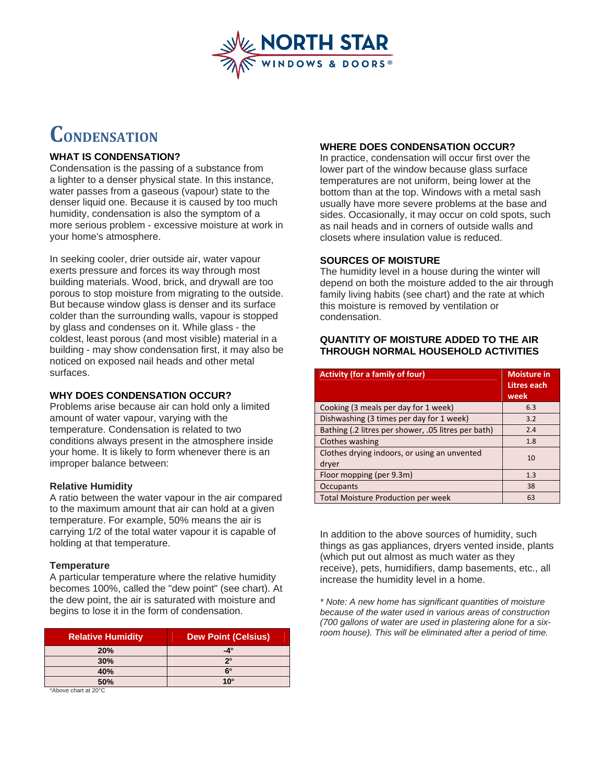

# **CONDENSATION**

### **WHAT IS CONDENSATION?**

Condensation is the passing of a substance from a lighter to a denser physical state. In this instance, water passes from a gaseous (vapour) state to the denser liquid one. Because it is caused by too much humidity, condensation is also the symptom of a more serious problem - excessive moisture at work in your home's atmosphere.

In seeking cooler, drier outside air, water vapour exerts pressure and forces its way through most building materials. Wood, brick, and drywall are too porous to stop moisture from migrating to the outside. But because window glass is denser and its surface colder than the surrounding walls, vapour is stopped by glass and condenses on it. While glass - the coldest, least porous (and most visible) material in a building - may show condensation first, it may also be noticed on exposed nail heads and other metal surfaces.

### **WHY DOES CONDENSATION OCCUR?**

Problems arise because air can hold only a limited amount of water vapour, varying with the temperature. Condensation is related to two conditions always present in the atmosphere inside your home. It is likely to form whenever there is an improper balance between:

### **Relative Humidity**

A ratio between the water vapour in the air compared to the maximum amount that air can hold at a given temperature. For example, 50% means the air is carrying 1/2 of the total water vapour it is capable of holding at that temperature.

#### **Temperature**

A particular temperature where the relative humidity becomes 100%, called the "dew point" (see chart). At the dew point, the air is saturated with moisture and begins to lose it in the form of condensation.

| <b>Relative Humidity</b> | <b>Dew Point (Celsius)</b> |
|--------------------------|----------------------------|
| <b>20%</b>               | $-4^\circ$                 |
| 30%                      | $2^{\circ}$                |
| 40%                      | 6°                         |
| 50%                      | $10^{\circ}$               |

\*Above chart at 20°C

# **WHERE DOES CONDENSATION OCCUR?**

In practice, condensation will occur first over the lower part of the window because glass surface temperatures are not uniform, being lower at the bottom than at the top. Windows with a metal sash usually have more severe problems at the base and sides. Occasionally, it may occur on cold spots, such as nail heads and in corners of outside walls and closets where insulation value is reduced.

# **SOURCES OF MOISTURE**

The humidity level in a house during the winter will depend on both the moisture added to the air through family living habits (see chart) and the rate at which this moisture is removed by ventilation or condensation.

### **QUANTITY OF MOISTURE ADDED TO THE AIR THROUGH NORMAL HOUSEHOLD ACTIVITIES**

| <b>Activity (for a family of four)</b>                | <b>Moisture in</b><br>Litres each<br>week |
|-------------------------------------------------------|-------------------------------------------|
| Cooking (3 meals per day for 1 week)                  | 6.3                                       |
| Dishwashing (3 times per day for 1 week)              | 3.2                                       |
| Bathing (.2 litres per shower, .05 litres per bath)   | 2.4                                       |
| Clothes washing                                       | 1.8                                       |
| Clothes drying indoors, or using an unvented<br>dryer | 10                                        |
| Floor mopping (per 9.3m)                              | 1.3                                       |
| Occupants                                             | 38                                        |
| <b>Total Moisture Production per week</b>             | 63                                        |

In addition to the above sources of humidity, such things as gas appliances, dryers vented inside, plants (which put out almost as much water as they receive), pets, humidifiers, damp basements, etc., all increase the humidity level in a home.

*\* Note: A new home has significant quantities of moisture because of the water used in various areas of construction (700 gallons of water are used in plastering alone for a sixroom house). This will be eliminated after a period of time.*